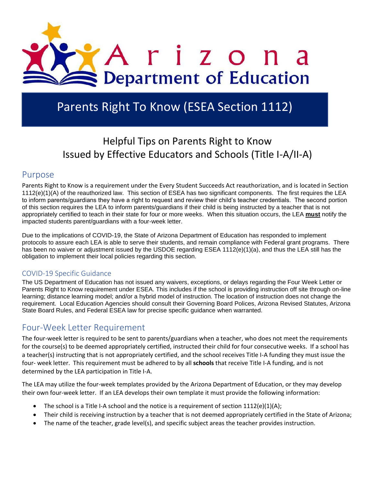

# Parents Right To Know (ESEA Section 1112)

## Helpful Tips on Parents Right to Know Issued by Effective Educators and Schools (Title I-A/II-A)

#### Purpose

Parents Right to Know is a requirement under the Every Student Succeeds Act reauthorization, and is located in Section [1112\(](https://www.title1admin.com/TI2/index.jsp?contentId=100202&chunkid=403386#sec1112)e)(1)(A) of the reauthorized law. This section of ESEA has two significant components. The first requires the LEA to inform parents/guardians they have a right to request and review their child's teacher credentials. The second portion of this section requires the LEA to inform parents/guardians if their child is being instructed by a teacher that is not appropriately certified to teach in their state for four or more weeks. When this situation occurs, the LEA **must** notify the impacted students parent/guardians with a four-week letter.

Due to the implications of COVID-19, the State of Arizona Department of Education has responded to implement protocols to assure each LEA is able to serve their students, and remain compliance with Federal grant programs. There has been no waiver or adjustment issued by the USDOE regarding ESEA 1112(e)(1)(a), and thus the LEA still has the obligation to implement their local policies regarding this section.

#### COVID-19 Specific Guidance

The US Department of Education has not issued any waivers, exceptions, or delays regarding the Four Week Letter or Parents Right to Know requirement under ESEA. This includes if the school is providing instruction off site through on-line learning; distance learning model; and/or a hybrid model of instruction. The location of instruction does not change the requirement. Local Education Agencies should consult their Governing Board Polices, Arizona Revised Statutes, Arizona State Board Rules, and Federal ESEA law for precise specific guidance when warranted.

### Four-Week Letter Requirement

The four-week letter is required to be sent to parents/guardians when a teacher, who does not meet the requirements for the course(s) to be deemed appropriately certified, instructed their child for four consecutive weeks. If a school has a teacher(s) instructing that is not appropriately certified, and the school receives Title I-A funding they must issue the four- week letter. This requirement must be adhered to by all **schools** that receive Title I-A funding, and is not determined by the LEA participation in Title I-A.

The LEA may utilize the four-week templates provided by the Arizona Department of Education, or they may develop their own four-week letter. If an LEA develops their own template it must provide the following information:

- The school is a Title I-A school and the notice is a requirement of section  $1112(e)(1)(A);$
- Their child is receiving instruction by a teacher that is not deemed appropriately certified in the State of Arizona;
- The name of the teacher, grade level(s), and specific subject areas the teacher provides instruction.